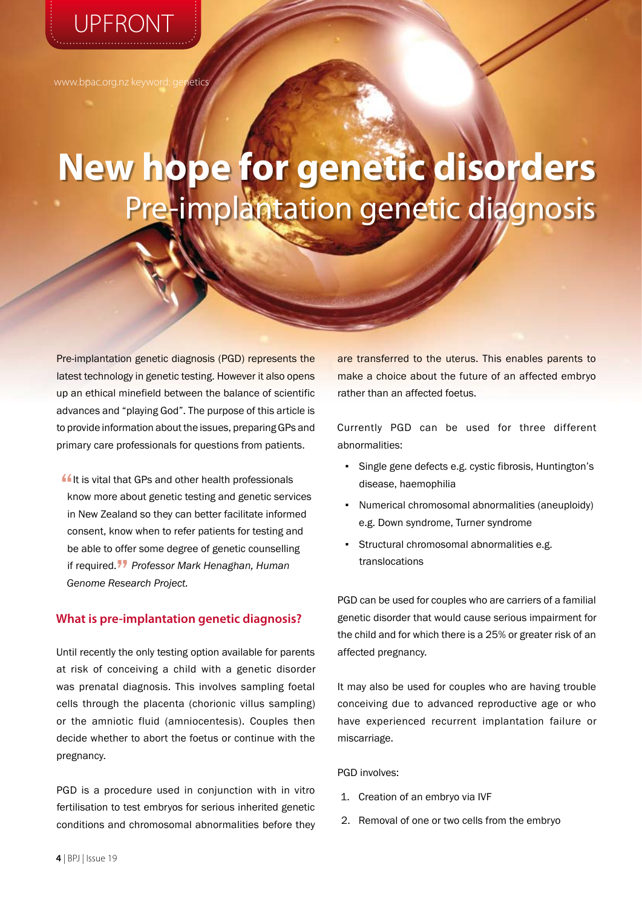UPFRONT

www.bpac.org.nz keyword: genetics

# **New hope for genetic disorders** Pre-implantation genetic diagnosis

Pre-implantation genetic diagnosis (PGD) represents the latest technology in genetic testing. However it also opens up an ethical minefield between the balance of scientific advances and "playing God". The purpose of this article is to provide information about the issues, preparing GPs and primary care professionals for questions from patients.

**If** It is vital that GPs and other health professionals know more about genetic testing and genetic services in New Zealand so they can better facilitate informed consent, know when to refer patients for testing and be able to offer some degree of genetic counselling if required." *Professor Mark Henaghan, Human Genome Research Project.*

# **What is pre-implantation genetic diagnosis?**

Until recently the only testing option available for parents at risk of conceiving a child with a genetic disorder was prenatal diagnosis. This involves sampling foetal cells through the placenta (chorionic villus sampling) or the amniotic fluid (amniocentesis). Couples then decide whether to abort the foetus or continue with the pregnancy.

PGD is a procedure used in conjunction with in vitro fertilisation to test embryos for serious inherited genetic conditions and chromosomal abnormalities before they are transferred to the uterus. This enables parents to make a choice about the future of an affected embryo rather than an affected foetus.

Currently PGD can be used for three different abnormalities:

- Single gene defects e.g. cystic fibrosis, Huntington's disease, haemophilia
- Numerical chromosomal abnormalities (aneuploidy) e.g. Down syndrome, Turner syndrome
- Structural chromosomal abnormalities e.g. translocations

PGD can be used for couples who are carriers of a familial genetic disorder that would cause serious impairment for the child and for which there is a 25% or greater risk of an affected pregnancy.

It may also be used for couples who are having trouble conceiving due to advanced reproductive age or who have experienced recurrent implantation failure or miscarriage.

PGD involves:

- 1. Creation of an embryo via IVF
- 2. Removal of one or two cells from the embryo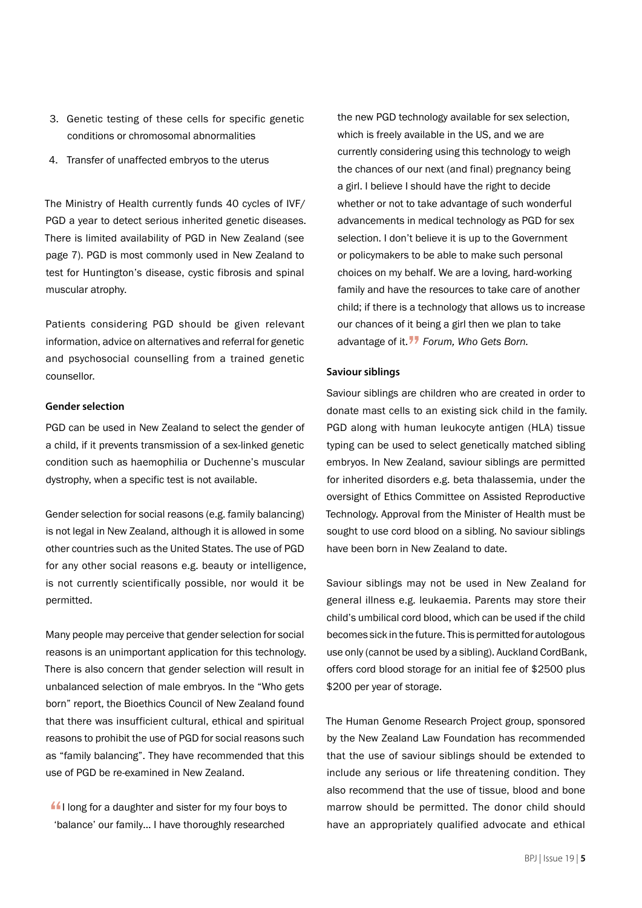- 3. Genetic testing of these cells for specific genetic conditions or chromosomal abnormalities
- 4. Transfer of unaffected embryos to the uterus

The Ministry of Health currently funds 40 cycles of IVF/ PGD a year to detect serious inherited genetic diseases. There is limited availability of PGD in New Zealand (see page 7). PGD is most commonly used in New Zealand to test for Huntington's disease, cystic fibrosis and spinal muscular atrophy.

Patients considering PGD should be given relevant information, advice on alternatives and referral for genetic and psychosocial counselling from a trained genetic counsellor.

## **Gender selection**

PGD can be used in New Zealand to select the gender of a child, if it prevents transmission of a sex-linked genetic condition such as haemophilia or Duchenne's muscular dystrophy, when a specific test is not available.

Gender selection for social reasons (e.g. family balancing) is not legal in New Zealand, although it is allowed in some other countries such as the United States. The use of PGD for any other social reasons e.g. beauty or intelligence, is not currently scientifically possible, nor would it be permitted.

Many people may perceive that gender selection for social reasons is an unimportant application for this technology. There is also concern that gender selection will result in unbalanced selection of male embryos. In the "Who gets born" report, the Bioethics Council of New Zealand found that there was insufficient cultural, ethical and spiritual reasons to prohibit the use of PGD for social reasons such as "family balancing". They have recommended that this use of PGD be re-examined in New Zealand.

If I long for a daughter and sister for my four boys to 'balance' our family… I have thoroughly researched

the new PGD technology available for sex selection, which is freely available in the US, and we are currently considering using this technology to weigh the chances of our next (and final) pregnancy being a girl. I believe I should have the right to decide whether or not to take advantage of such wonderful advancements in medical technology as PGD for sex selection. I don't believe it is up to the Government or policymakers to be able to make such personal choices on my behalf. We are a loving, hard-working family and have the resources to take care of another child; if there is a technology that allows us to increase our chances of it being a girl then we plan to take advantage of it." *Forum, Who Gets Born.* 

## **Saviour siblings**

Saviour siblings are children who are created in order to donate mast cells to an existing sick child in the family. PGD along with human leukocyte antigen (HLA) tissue typing can be used to select genetically matched sibling embryos. In New Zealand, saviour siblings are permitted for inherited disorders e.g. beta thalassemia, under the oversight of Ethics Committee on Assisted Reproductive Technology. Approval from the Minister of Health must be sought to use cord blood on a sibling. No saviour siblings have been born in New Zealand to date.

Saviour siblings may not be used in New Zealand for general illness e.g. leukaemia. Parents may store their child's umbilical cord blood, which can be used if the child becomes sick in the future. This is permitted for autologous use only (cannot be used by a sibling). Auckland CordBank, offers cord blood storage for an initial fee of \$2500 plus \$200 per year of storage.

The Human Genome Research Project group, sponsored by the New Zealand Law Foundation has recommended that the use of saviour siblings should be extended to include any serious or life threatening condition. They also recommend that the use of tissue, blood and bone marrow should be permitted. The donor child should have an appropriately qualified advocate and ethical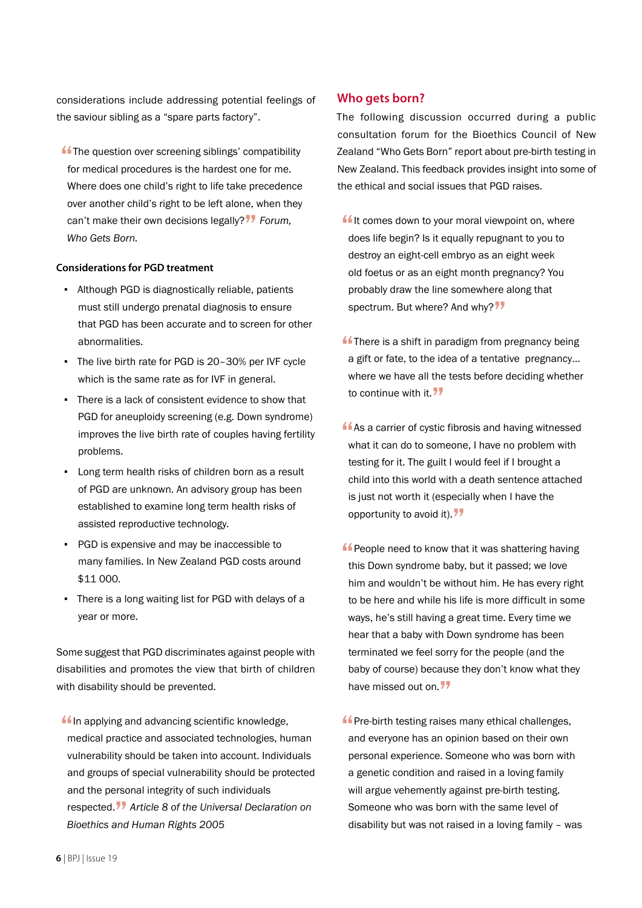considerations include addressing potential feelings of the saviour sibling as a "spare parts factory".

**ff** The question over screening siblings' compatibility for medical procedures is the hardest one for me. Where does one child's right to life take precedence over another child's right to be left alone, when they can't make their own decisions legally?" *Forum, Who Gets Born.*

## **Considerations for PGD treatment**

- Although PGD is diagnostically reliable, patients must still undergo prenatal diagnosis to ensure that PGD has been accurate and to screen for other abnormalities.
- The live birth rate for PGD is 20–30% per IVF cycle which is the same rate as for IVF in general.
- There is a lack of consistent evidence to show that PGD for aneuploidy screening (e.g. Down syndrome) improves the live birth rate of couples having fertility problems.
- Long term health risks of children born as a result of PGD are unknown. An advisory group has been established to examine long term health risks of assisted reproductive technology.
- PGD is expensive and may be inaccessible to many families. In New Zealand PGD costs around \$11 000.
- There is a long waiting list for PGD with delays of a year or more.

Some suggest that PGD discriminates against people with disabilities and promotes the view that birth of children with disability should be prevented.

 $\blacksquare$ In applying and advancing scientific knowledge, medical practice and associated technologies, human vulnerability should be taken into account. Individuals and groups of special vulnerability should be protected and the personal integrity of such individuals respected." *Article 8 of the Universal Declaration on Bioethics and Human Rights 2005*

# **Who gets born?**

The following discussion occurred during a public consultation forum for the Bioethics Council of New Zealand "Who Gets Born" report about pre-birth testing in New Zealand. This feedback provides insight into some of the ethical and social issues that PGD raises.

- $\blacksquare$ It comes down to your moral viewpoint on, where does life begin? Is it equally repugnant to you to destroy an eight-cell embryo as an eight week old foetus or as an eight month pregnancy? You probably draw the line somewhere along that spectrum. But where? And why?"
- $\blacksquare$  There is a shift in paradigm from pregnancy being a gift or fate, to the idea of a tentative pregnancy… where we have all the tests before deciding whether to continue with it.  $77$
- **As a carrier of cystic fibrosis and having witnessed** what it can do to someone, I have no problem with testing for it. The guilt I would feel if I brought a child into this world with a death sentence attached is just not worth it (especially when I have the opportunity to avoid it).  $77$
- **ff** People need to know that it was shattering having this Down syndrome baby, but it passed; we love him and wouldn't be without him. He has every right to be here and while his life is more difficult in some ways, he's still having a great time. Every time we hear that a baby with Down syndrome has been terminated we feel sorry for the people (and the baby of course) because they don't know what they have missed out on.<sup>77</sup>
- **f** Pre-birth testing raises many ethical challenges, and everyone has an opinion based on their own personal experience. Someone who was born with a genetic condition and raised in a loving family will argue vehemently against pre-birth testing. Someone who was born with the same level of disability but was not raised in a loving family – was